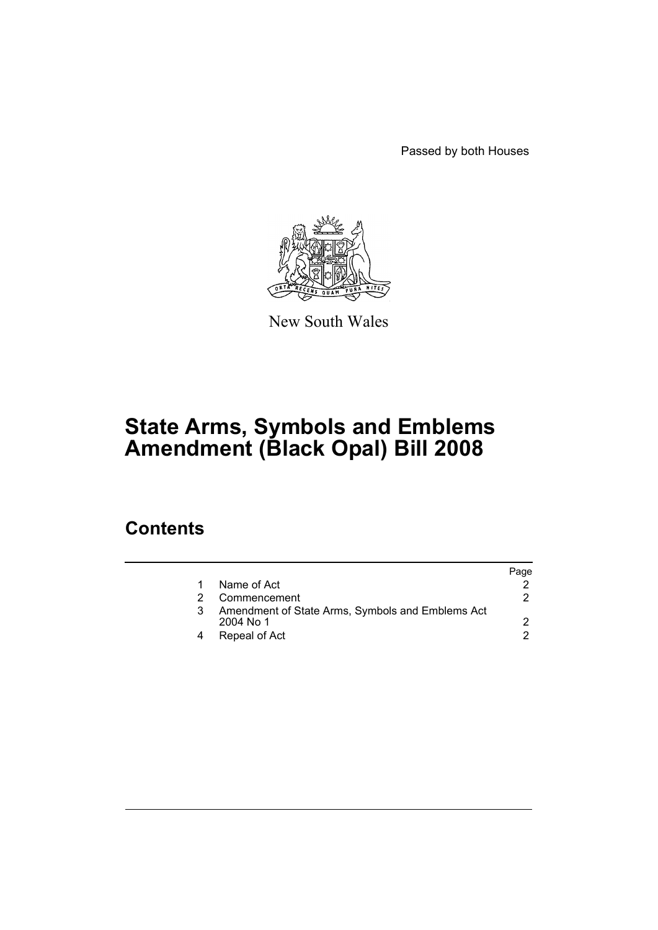Passed by both Houses



New South Wales

# **State Arms, Symbols and Emblems Amendment (Black Opal) Bill 2008**

### **Contents**

|                                                                 | Page |
|-----------------------------------------------------------------|------|
| Name of Act                                                     |      |
| Commencement                                                    |      |
| Amendment of State Arms, Symbols and Emblems Act<br>$2004$ No 1 |      |
| Repeal of Act                                                   |      |
|                                                                 |      |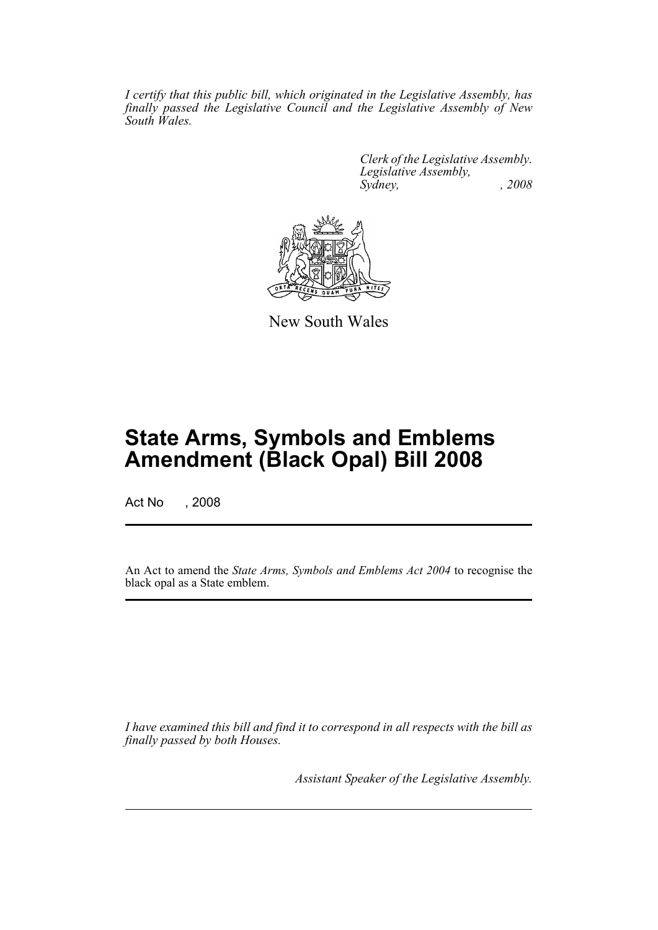*I certify that this public bill, which originated in the Legislative Assembly, has finally passed the Legislative Council and the Legislative Assembly of New South Wales.*

> *Clerk of the Legislative Assembly. Legislative Assembly, Sydney, , 2008*



New South Wales

## **State Arms, Symbols and Emblems Amendment (Black Opal) Bill 2008**

Act No , 2008

An Act to amend the *State Arms, Symbols and Emblems Act 2004* to recognise the black opal as a State emblem.

*I have examined this bill and find it to correspond in all respects with the bill as finally passed by both Houses.*

*Assistant Speaker of the Legislative Assembly.*